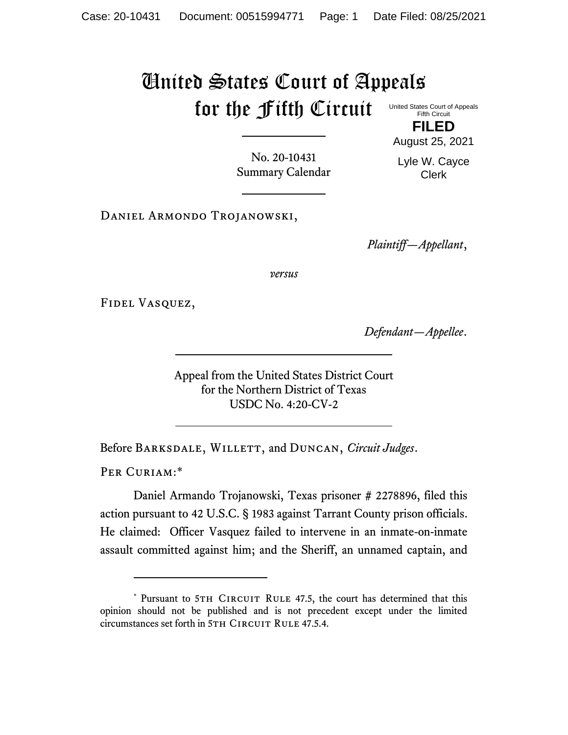## United States Court of Appeals for the Fifth Circuit

United States Court of Appeals Fifth Circuit

**FILED** August 25, 2021

No. 20-10431 Summary Calendar Lyle W. Cayce Clerk

Daniel Armondo Trojanowski,

*Plaintiff—Appellant*,

*versus*

Fidel Vasquez,

*Defendant—Appellee*.

Appeal from the United States District Court for the Northern District of Texas USDC No. 4:20-CV-2

Before Barksdale, Willett, and Duncan, *Circuit Judges*.

PER CURIAM:\*

Daniel Armando Trojanowski, Texas prisoner # 2278896, filed this action pursuant to 42 U.S.C. § 1983 against Tarrant County prison officials. He claimed: Officer Vasquez failed to intervene in an inmate-on-inmate assault committed against him; and the Sheriff, an unnamed captain, and

<sup>\*</sup> Pursuant to 5TH CIRCUIT RULE 47.5, the court has determined that this opinion should not be published and is not precedent except under the limited circumstances set forth in 5TH CIRCUIT RULE 47.5.4.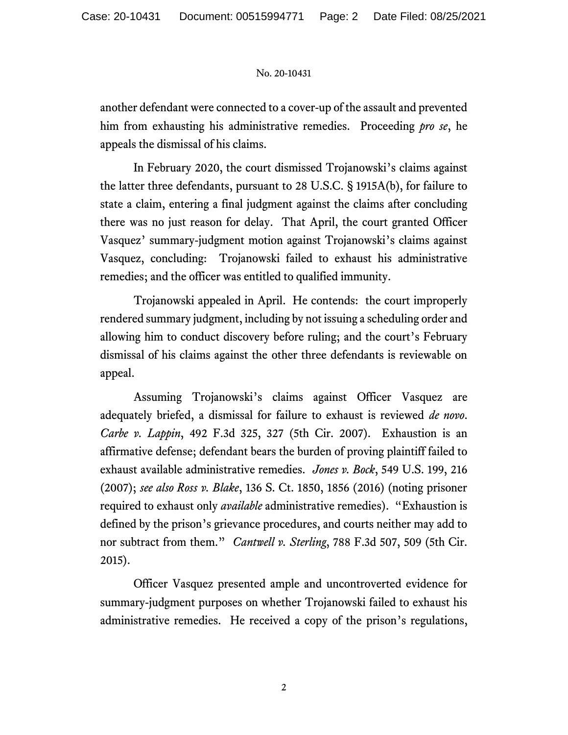## No. 20-10431

another defendant were connected to a cover-up of the assault and prevented him from exhausting his administrative remedies. Proceeding *pro se*, he appeals the dismissal of his claims.

In February 2020, the court dismissed Trojanowski's claims against the latter three defendants, pursuant to 28 U.S.C. § 1915A(b), for failure to state a claim, entering a final judgment against the claims after concluding there was no just reason for delay. That April, the court granted Officer Vasquez' summary-judgment motion against Trojanowski's claims against Vasquez, concluding: Trojanowski failed to exhaust his administrative remedies; and the officer was entitled to qualified immunity.

Trojanowski appealed in April. He contends: the court improperly rendered summary judgment, including by not issuing a scheduling order and allowing him to conduct discovery before ruling; and the court's February dismissal of his claims against the other three defendants is reviewable on appeal.

Assuming Trojanowski's claims against Officer Vasquez are adequately briefed, a dismissal for failure to exhaust is reviewed *de novo*. *Carbe v. Lappin*, 492 F.3d 325, 327 (5th Cir. 2007). Exhaustion is an affirmative defense; defendant bears the burden of proving plaintiff failed to exhaust available administrative remedies. *Jones v. Bock*, 549 U.S. 199, 216 (2007); *see also Ross v. Blake*, 136 S. Ct. 1850, 1856 (2016) (noting prisoner required to exhaust only *available* administrative remedies). "Exhaustion is defined by the prison's grievance procedures, and courts neither may add to nor subtract from them." *Cantwell v. Sterling*, 788 F.3d 507, 509 (5th Cir. 2015).

Officer Vasquez presented ample and uncontroverted evidence for summary-judgment purposes on whether Trojanowski failed to exhaust his administrative remedies. He received a copy of the prison's regulations,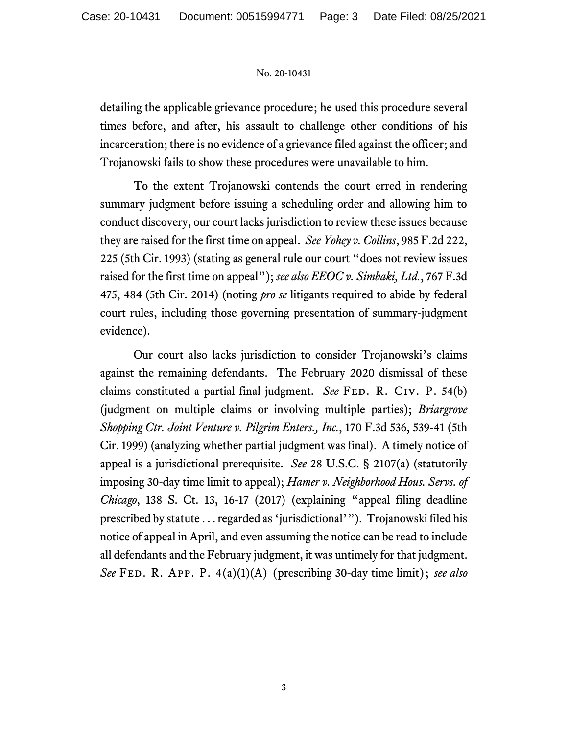## No. 20-10431

detailing the applicable grievance procedure; he used this procedure several times before, and after, his assault to challenge other conditions of his incarceration; there is no evidence of a grievance filed against the officer; and Trojanowski fails to show these procedures were unavailable to him.

To the extent Trojanowski contends the court erred in rendering summary judgment before issuing a scheduling order and allowing him to conduct discovery, our court lacks jurisdiction to review these issues because they are raised for the first time on appeal. *See Yohey v. Collins*, 985 F.2d 222, 225 (5th Cir. 1993) (stating as general rule our court "does not review issues raised for the first time on appeal"); *see also EEOC v. Simbaki, Ltd.*, 767 F.3d 475, 484 (5th Cir. 2014) (noting *pro se* litigants required to abide by federal court rules, including those governing presentation of summary-judgment evidence).

Our court also lacks jurisdiction to consider Trojanowski's claims against the remaining defendants. The February 2020 dismissal of these claims constituted a partial final judgment. *See* FED. R. CIV. P. 54(b) (judgment on multiple claims or involving multiple parties); *Briargrove Shopping Ctr. Joint Venture v. Pilgrim Enters., Inc.*, 170 F.3d 536, 539-41 (5th Cir. 1999) (analyzing whether partial judgment was final). A timely notice of appeal is a jurisdictional prerequisite. *See* 28 U.S.C. § 2107(a) (statutorily imposing 30-day time limit to appeal); *Hamer v. Neighborhood Hous. Servs. of Chicago*, 138 S. Ct. 13, 16-17 (2017) (explaining "appeal filing deadline prescribed by statute . . . regarded as 'jurisdictional'"). Trojanowski filed his notice of appeal in April, and even assuming the notice can be read to include all defendants and the February judgment, it was untimely for that judgment. *See* Fed. R. App. P. 4(a)(1)(A) (prescribing 30-day time limit); *see also*